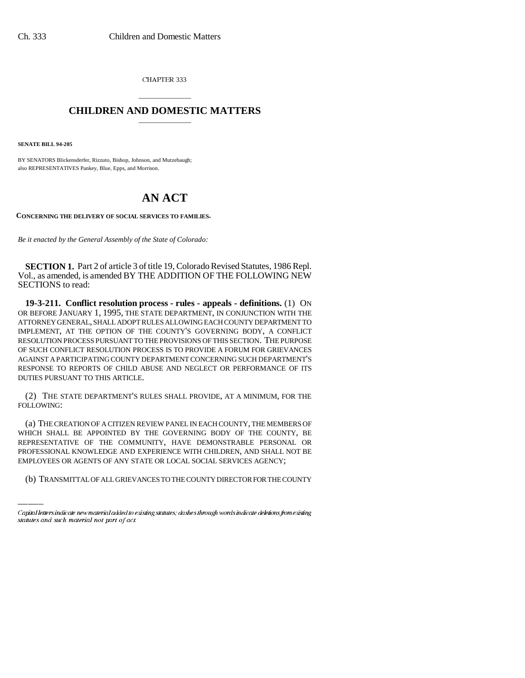CHAPTER 333

## \_\_\_\_\_\_\_\_\_\_\_\_\_\_\_ **CHILDREN AND DOMESTIC MATTERS** \_\_\_\_\_\_\_\_\_\_\_\_\_\_\_

**SENATE BILL 94-205**

BY SENATORS Blickensderfer, Rizzuto, Bishop, Johnson, and Mutzebaugh; also REPRESENTATIVES Pankey, Blue, Epps, and Morrison.

## **AN ACT**

**CONCERNING THE DELIVERY OF SOCIAL SERVICES TO FAMILIES.**

*Be it enacted by the General Assembly of the State of Colorado:*

**SECTION 1.** Part 2 of article 3 of title 19, Colorado Revised Statutes, 1986 Repl. Vol., as amended, is amended BY THE ADDITION OF THE FOLLOWING NEW SECTIONS to read:

**19-3-211. Conflict resolution process - rules - appeals - definitions.** (1) ON OR BEFORE JANUARY 1, 1995, THE STATE DEPARTMENT, IN CONJUNCTION WITH THE ATTORNEY GENERAL, SHALL ADOPT RULES ALLOWING EACH COUNTY DEPARTMENT TO IMPLEMENT, AT THE OPTION OF THE COUNTY'S GOVERNING BODY, A CONFLICT RESOLUTION PROCESS PURSUANT TO THE PROVISIONS OF THIS SECTION. THE PURPOSE OF SUCH CONFLICT RESOLUTION PROCESS IS TO PROVIDE A FORUM FOR GRIEVANCES AGAINST A PARTICIPATING COUNTY DEPARTMENT CONCERNING SUCH DEPARTMENT'S RESPONSE TO REPORTS OF CHILD ABUSE AND NEGLECT OR PERFORMANCE OF ITS DUTIES PURSUANT TO THIS ARTICLE.

(2) THE STATE DEPARTMENT'S RULES SHALL PROVIDE, AT A MINIMUM, FOR THE FOLLOWING:

REPRESENTATIVE OF THE COMMUNITY, HAVE DEMONSTRABLE PERSONAL OR (a) THE CREATION OF A CITIZEN REVIEW PANEL IN EACH COUNTY, THE MEMBERS OF WHICH SHALL BE APPOINTED BY THE GOVERNING BODY OF THE COUNTY, BE PROFESSIONAL KNOWLEDGE AND EXPERIENCE WITH CHILDREN, AND SHALL NOT BE EMPLOYEES OR AGENTS OF ANY STATE OR LOCAL SOCIAL SERVICES AGENCY;

(b) TRANSMITTAL OF ALL GRIEVANCES TO THE COUNTY DIRECTOR FOR THE COUNTY

Capital letters indicate new material added to existing statutes; dashes through words indicate deletions from existing statutes and such material not part of act.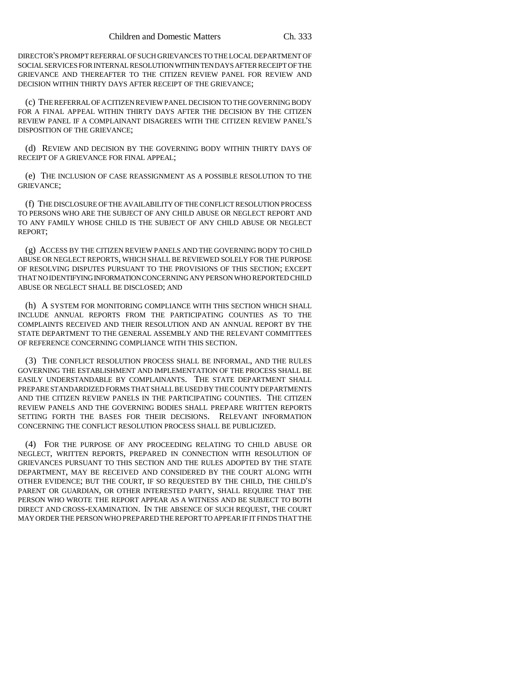DIRECTOR'S PROMPT REFERRAL OF SUCH GRIEVANCES TO THE LOCAL DEPARTMENT OF SOCIAL SERVICES FOR INTERNAL RESOLUTION WITHIN TEN DAYS AFTER RECEIPT OF THE GRIEVANCE AND THEREAFTER TO THE CITIZEN REVIEW PANEL FOR REVIEW AND DECISION WITHIN THIRTY DAYS AFTER RECEIPT OF THE GRIEVANCE;

(c) THE REFERRAL OF A CITIZEN REVIEW PANEL DECISION TO THE GOVERNING BODY FOR A FINAL APPEAL WITHIN THIRTY DAYS AFTER THE DECISION BY THE CITIZEN REVIEW PANEL IF A COMPLAINANT DISAGREES WITH THE CITIZEN REVIEW PANEL'S DISPOSITION OF THE GRIEVANCE;

(d) REVIEW AND DECISION BY THE GOVERNING BODY WITHIN THIRTY DAYS OF RECEIPT OF A GRIEVANCE FOR FINAL APPEAL;

(e) THE INCLUSION OF CASE REASSIGNMENT AS A POSSIBLE RESOLUTION TO THE GRIEVANCE;

(f) THE DISCLOSURE OF THE AVAILABILITY OF THE CONFLICT RESOLUTION PROCESS TO PERSONS WHO ARE THE SUBJECT OF ANY CHILD ABUSE OR NEGLECT REPORT AND TO ANY FAMILY WHOSE CHILD IS THE SUBJECT OF ANY CHILD ABUSE OR NEGLECT REPORT;

(g) ACCESS BY THE CITIZEN REVIEW PANELS AND THE GOVERNING BODY TO CHILD ABUSE OR NEGLECT REPORTS, WHICH SHALL BE REVIEWED SOLELY FOR THE PURPOSE OF RESOLVING DISPUTES PURSUANT TO THE PROVISIONS OF THIS SECTION; EXCEPT THAT NO IDENTIFYING INFORMATION CONCERNING ANY PERSON WHO REPORTED CHILD ABUSE OR NEGLECT SHALL BE DISCLOSED; AND

(h) A SYSTEM FOR MONITORING COMPLIANCE WITH THIS SECTION WHICH SHALL INCLUDE ANNUAL REPORTS FROM THE PARTICIPATING COUNTIES AS TO THE COMPLAINTS RECEIVED AND THEIR RESOLUTION AND AN ANNUAL REPORT BY THE STATE DEPARTMENT TO THE GENERAL ASSEMBLY AND THE RELEVANT COMMITTEES OF REFERENCE CONCERNING COMPLIANCE WITH THIS SECTION.

(3) THE CONFLICT RESOLUTION PROCESS SHALL BE INFORMAL, AND THE RULES GOVERNING THE ESTABLISHMENT AND IMPLEMENTATION OF THE PROCESS SHALL BE EASILY UNDERSTANDABLE BY COMPLAINANTS. THE STATE DEPARTMENT SHALL PREPARE STANDARDIZED FORMS THAT SHALL BE USED BY THE COUNTY DEPARTMENTS AND THE CITIZEN REVIEW PANELS IN THE PARTICIPATING COUNTIES. THE CITIZEN REVIEW PANELS AND THE GOVERNING BODIES SHALL PREPARE WRITTEN REPORTS SETTING FORTH THE BASES FOR THEIR DECISIONS. RELEVANT INFORMATION CONCERNING THE CONFLICT RESOLUTION PROCESS SHALL BE PUBLICIZED.

(4) FOR THE PURPOSE OF ANY PROCEEDING RELATING TO CHILD ABUSE OR NEGLECT, WRITTEN REPORTS, PREPARED IN CONNECTION WITH RESOLUTION OF GRIEVANCES PURSUANT TO THIS SECTION AND THE RULES ADOPTED BY THE STATE DEPARTMENT, MAY BE RECEIVED AND CONSIDERED BY THE COURT ALONG WITH OTHER EVIDENCE; BUT THE COURT, IF SO REQUESTED BY THE CHILD, THE CHILD'S PARENT OR GUARDIAN, OR OTHER INTERESTED PARTY, SHALL REQUIRE THAT THE PERSON WHO WROTE THE REPORT APPEAR AS A WITNESS AND BE SUBJECT TO BOTH DIRECT AND CROSS-EXAMINATION. IN THE ABSENCE OF SUCH REQUEST, THE COURT MAY ORDER THE PERSON WHO PREPARED THE REPORT TO APPEAR IF IT FINDS THAT THE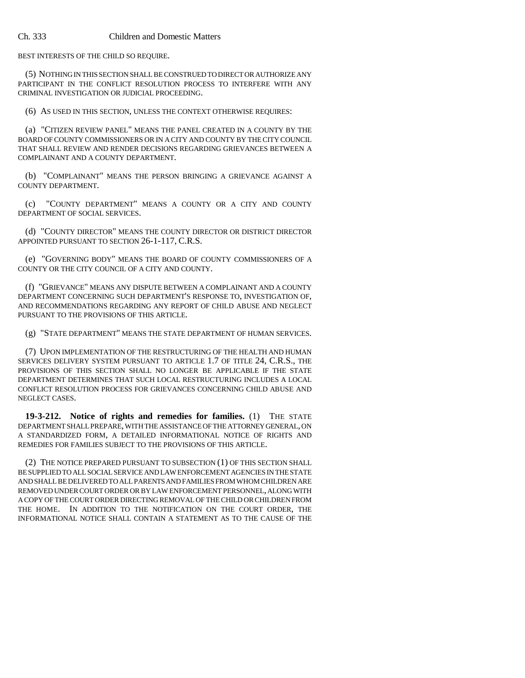## Ch. 333 Children and Domestic Matters

BEST INTERESTS OF THE CHILD SO REQUIRE.

(5) NOTHING IN THIS SECTION SHALL BE CONSTRUED TO DIRECT OR AUTHORIZE ANY PARTICIPANT IN THE CONFLICT RESOLUTION PROCESS TO INTERFERE WITH ANY CRIMINAL INVESTIGATION OR JUDICIAL PROCEEDING.

(6) AS USED IN THIS SECTION, UNLESS THE CONTEXT OTHERWISE REQUIRES:

(a) "CITIZEN REVIEW PANEL" MEANS THE PANEL CREATED IN A COUNTY BY THE BOARD OF COUNTY COMMISSIONERS OR IN A CITY AND COUNTY BY THE CITY COUNCIL THAT SHALL REVIEW AND RENDER DECISIONS REGARDING GRIEVANCES BETWEEN A COMPLAINANT AND A COUNTY DEPARTMENT.

(b) "COMPLAINANT" MEANS THE PERSON BRINGING A GRIEVANCE AGAINST A COUNTY DEPARTMENT.

(c) "COUNTY DEPARTMENT" MEANS A COUNTY OR A CITY AND COUNTY DEPARTMENT OF SOCIAL SERVICES.

(d) "COUNTY DIRECTOR" MEANS THE COUNTY DIRECTOR OR DISTRICT DIRECTOR APPOINTED PURSUANT TO SECTION 26-1-117, C.R.S.

(e) "GOVERNING BODY" MEANS THE BOARD OF COUNTY COMMISSIONERS OF A COUNTY OR THE CITY COUNCIL OF A CITY AND COUNTY.

(f) "GRIEVANCE" MEANS ANY DISPUTE BETWEEN A COMPLAINANT AND A COUNTY DEPARTMENT CONCERNING SUCH DEPARTMENT'S RESPONSE TO, INVESTIGATION OF, AND RECOMMENDATIONS REGARDING ANY REPORT OF CHILD ABUSE AND NEGLECT PURSUANT TO THE PROVISIONS OF THIS ARTICLE.

(g) "STATE DEPARTMENT" MEANS THE STATE DEPARTMENT OF HUMAN SERVICES.

(7) UPON IMPLEMENTATION OF THE RESTRUCTURING OF THE HEALTH AND HUMAN SERVICES DELIVERY SYSTEM PURSUANT TO ARTICLE 1.7 OF TITLE 24, C.R.S., THE PROVISIONS OF THIS SECTION SHALL NO LONGER BE APPLICABLE IF THE STATE DEPARTMENT DETERMINES THAT SUCH LOCAL RESTRUCTURING INCLUDES A LOCAL CONFLICT RESOLUTION PROCESS FOR GRIEVANCES CONCERNING CHILD ABUSE AND NEGLECT CASES.

**19-3-212. Notice of rights and remedies for families.** (1) THE STATE DEPARTMENT SHALL PREPARE, WITH THE ASSISTANCE OF THE ATTORNEY GENERAL, ON A STANDARDIZED FORM, A DETAILED INFORMATIONAL NOTICE OF RIGHTS AND REMEDIES FOR FAMILIES SUBJECT TO THE PROVISIONS OF THIS ARTICLE.

(2) THE NOTICE PREPARED PURSUANT TO SUBSECTION (1) OF THIS SECTION SHALL BE SUPPLIED TO ALL SOCIAL SERVICE AND LAW ENFORCEMENT AGENCIES IN THE STATE AND SHALL BE DELIVERED TO ALL PARENTS AND FAMILIES FROM WHOM CHILDREN ARE REMOVED UNDER COURT ORDER OR BY LAW ENFORCEMENT PERSONNEL, ALONG WITH A COPY OF THE COURT ORDER DIRECTING REMOVAL OF THE CHILD OR CHILDREN FROM THE HOME. IN ADDITION TO THE NOTIFICATION ON THE COURT ORDER, THE INFORMATIONAL NOTICE SHALL CONTAIN A STATEMENT AS TO THE CAUSE OF THE